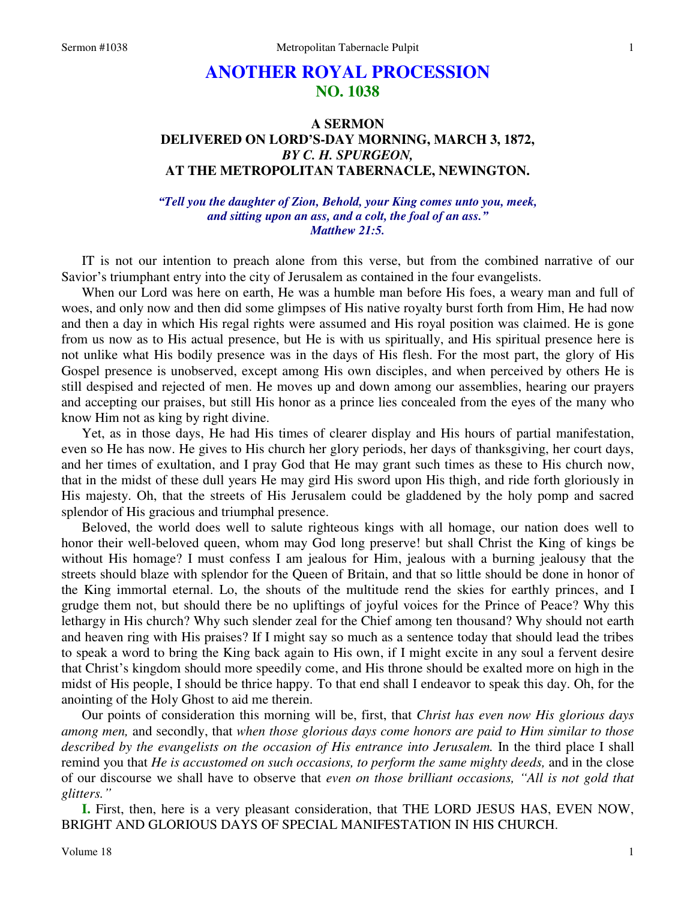## **ANOTHER ROYAL PROCESSION NO. 1038**

## **A SERMON DELIVERED ON LORD'S-DAY MORNING, MARCH 3, 1872,**  *BY C. H. SPURGEON,*  **AT THE METROPOLITAN TABERNACLE, NEWINGTON.**

*"Tell you the daughter of Zion, Behold, your King comes unto you, meek, and sitting upon an ass, and a colt, the foal of an ass." Matthew 21:5.* 

IT is not our intention to preach alone from this verse, but from the combined narrative of our Savior's triumphant entry into the city of Jerusalem as contained in the four evangelists.

When our Lord was here on earth, He was a humble man before His foes, a weary man and full of woes, and only now and then did some glimpses of His native royalty burst forth from Him, He had now and then a day in which His regal rights were assumed and His royal position was claimed. He is gone from us now as to His actual presence, but He is with us spiritually, and His spiritual presence here is not unlike what His bodily presence was in the days of His flesh. For the most part, the glory of His Gospel presence is unobserved, except among His own disciples, and when perceived by others He is still despised and rejected of men. He moves up and down among our assemblies, hearing our prayers and accepting our praises, but still His honor as a prince lies concealed from the eyes of the many who know Him not as king by right divine.

Yet, as in those days, He had His times of clearer display and His hours of partial manifestation, even so He has now. He gives to His church her glory periods, her days of thanksgiving, her court days, and her times of exultation, and I pray God that He may grant such times as these to His church now, that in the midst of these dull years He may gird His sword upon His thigh, and ride forth gloriously in His majesty. Oh, that the streets of His Jerusalem could be gladdened by the holy pomp and sacred splendor of His gracious and triumphal presence.

Beloved, the world does well to salute righteous kings with all homage, our nation does well to honor their well-beloved queen, whom may God long preserve! but shall Christ the King of kings be without His homage? I must confess I am jealous for Him, jealous with a burning jealousy that the streets should blaze with splendor for the Queen of Britain, and that so little should be done in honor of the King immortal eternal. Lo, the shouts of the multitude rend the skies for earthly princes, and I grudge them not, but should there be no upliftings of joyful voices for the Prince of Peace? Why this lethargy in His church? Why such slender zeal for the Chief among ten thousand? Why should not earth and heaven ring with His praises? If I might say so much as a sentence today that should lead the tribes to speak a word to bring the King back again to His own, if I might excite in any soul a fervent desire that Christ's kingdom should more speedily come, and His throne should be exalted more on high in the midst of His people, I should be thrice happy. To that end shall I endeavor to speak this day. Oh, for the anointing of the Holy Ghost to aid me therein.

Our points of consideration this morning will be, first, that *Christ has even now His glorious days among men,* and secondly, that *when those glorious days come honors are paid to Him similar to those described by the evangelists on the occasion of His entrance into Jerusalem.* In the third place I shall remind you that *He is accustomed on such occasions, to perform the same mighty deeds,* and in the close of our discourse we shall have to observe that *even on those brilliant occasions, "All is not gold that glitters."* 

**I.** First, then, here is a very pleasant consideration, that THE LORD JESUS HAS, EVEN NOW, BRIGHT AND GLORIOUS DAYS OF SPECIAL MANIFESTATION IN HIS CHURCH.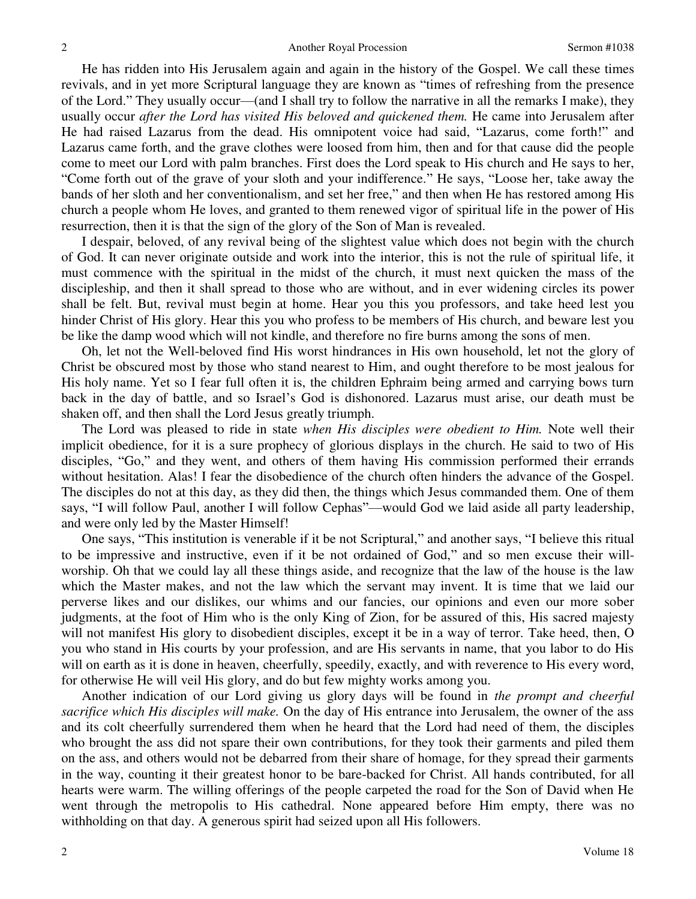He has ridden into His Jerusalem again and again in the history of the Gospel. We call these times revivals, and in yet more Scriptural language they are known as "times of refreshing from the presence of the Lord." They usually occur—(and I shall try to follow the narrative in all the remarks I make), they usually occur *after the Lord has visited His beloved and quickened them.* He came into Jerusalem after He had raised Lazarus from the dead. His omnipotent voice had said, "Lazarus, come forth!" and Lazarus came forth, and the grave clothes were loosed from him, then and for that cause did the people come to meet our Lord with palm branches. First does the Lord speak to His church and He says to her, "Come forth out of the grave of your sloth and your indifference." He says, "Loose her, take away the bands of her sloth and her conventionalism, and set her free," and then when He has restored among His church a people whom He loves, and granted to them renewed vigor of spiritual life in the power of His resurrection, then it is that the sign of the glory of the Son of Man is revealed.

I despair, beloved, of any revival being of the slightest value which does not begin with the church of God. It can never originate outside and work into the interior, this is not the rule of spiritual life, it must commence with the spiritual in the midst of the church, it must next quicken the mass of the discipleship, and then it shall spread to those who are without, and in ever widening circles its power shall be felt. But, revival must begin at home. Hear you this you professors, and take heed lest you hinder Christ of His glory. Hear this you who profess to be members of His church, and beware lest you be like the damp wood which will not kindle, and therefore no fire burns among the sons of men.

Oh, let not the Well-beloved find His worst hindrances in His own household, let not the glory of Christ be obscured most by those who stand nearest to Him, and ought therefore to be most jealous for His holy name. Yet so I fear full often it is, the children Ephraim being armed and carrying bows turn back in the day of battle, and so Israel's God is dishonored. Lazarus must arise, our death must be shaken off, and then shall the Lord Jesus greatly triumph.

The Lord was pleased to ride in state *when His disciples were obedient to Him.* Note well their implicit obedience, for it is a sure prophecy of glorious displays in the church. He said to two of His disciples, "Go," and they went, and others of them having His commission performed their errands without hesitation. Alas! I fear the disobedience of the church often hinders the advance of the Gospel. The disciples do not at this day, as they did then, the things which Jesus commanded them. One of them says, "I will follow Paul, another I will follow Cephas"—would God we laid aside all party leadership, and were only led by the Master Himself!

One says, "This institution is venerable if it be not Scriptural," and another says, "I believe this ritual to be impressive and instructive, even if it be not ordained of God," and so men excuse their willworship. Oh that we could lay all these things aside, and recognize that the law of the house is the law which the Master makes, and not the law which the servant may invent. It is time that we laid our perverse likes and our dislikes, our whims and our fancies, our opinions and even our more sober judgments, at the foot of Him who is the only King of Zion, for be assured of this, His sacred majesty will not manifest His glory to disobedient disciples, except it be in a way of terror. Take heed, then, O you who stand in His courts by your profession, and are His servants in name, that you labor to do His will on earth as it is done in heaven, cheerfully, speedily, exactly, and with reverence to His every word, for otherwise He will veil His glory, and do but few mighty works among you.

Another indication of our Lord giving us glory days will be found in *the prompt and cheerful sacrifice which His disciples will make.* On the day of His entrance into Jerusalem, the owner of the ass and its colt cheerfully surrendered them when he heard that the Lord had need of them, the disciples who brought the ass did not spare their own contributions, for they took their garments and piled them on the ass, and others would not be debarred from their share of homage, for they spread their garments in the way, counting it their greatest honor to be bare-backed for Christ. All hands contributed, for all hearts were warm. The willing offerings of the people carpeted the road for the Son of David when He went through the metropolis to His cathedral. None appeared before Him empty, there was no withholding on that day. A generous spirit had seized upon all His followers.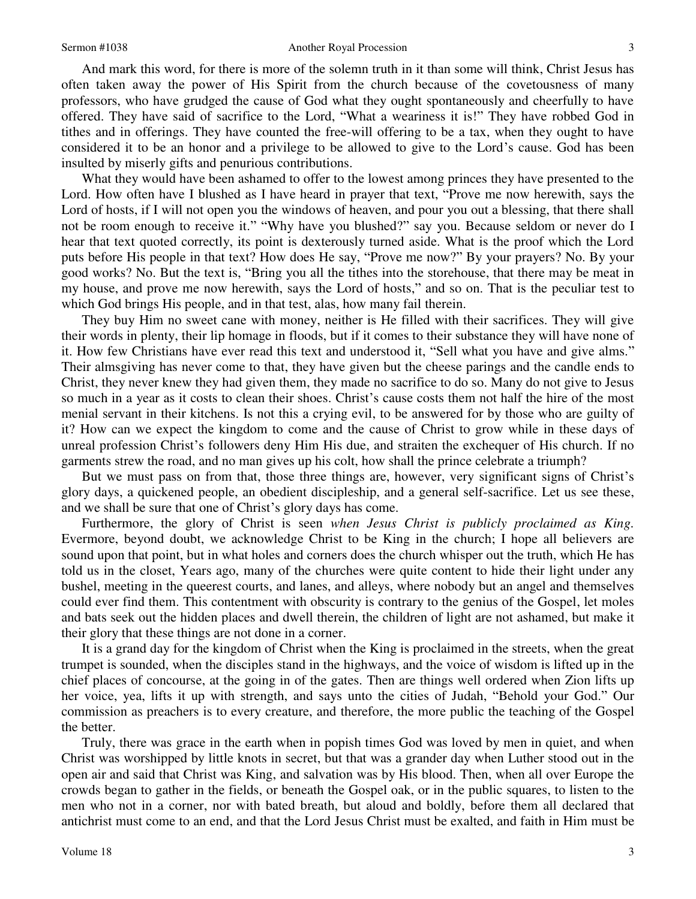## Sermon #1038 Another Royal Procession

And mark this word, for there is more of the solemn truth in it than some will think, Christ Jesus has often taken away the power of His Spirit from the church because of the covetousness of many professors, who have grudged the cause of God what they ought spontaneously and cheerfully to have

offered. They have said of sacrifice to the Lord, "What a weariness it is!" They have robbed God in tithes and in offerings. They have counted the free-will offering to be a tax, when they ought to have considered it to be an honor and a privilege to be allowed to give to the Lord's cause. God has been insulted by miserly gifts and penurious contributions.

What they would have been ashamed to offer to the lowest among princes they have presented to the Lord. How often have I blushed as I have heard in prayer that text, "Prove me now herewith, says the Lord of hosts, if I will not open you the windows of heaven, and pour you out a blessing, that there shall not be room enough to receive it." "Why have you blushed?" say you. Because seldom or never do I hear that text quoted correctly, its point is dexterously turned aside. What is the proof which the Lord puts before His people in that text? How does He say, "Prove me now?" By your prayers? No. By your good works? No. But the text is, "Bring you all the tithes into the storehouse, that there may be meat in my house, and prove me now herewith, says the Lord of hosts," and so on. That is the peculiar test to which God brings His people, and in that test, alas, how many fail therein.

They buy Him no sweet cane with money, neither is He filled with their sacrifices. They will give their words in plenty, their lip homage in floods, but if it comes to their substance they will have none of it. How few Christians have ever read this text and understood it, "Sell what you have and give alms." Their almsgiving has never come to that, they have given but the cheese parings and the candle ends to Christ, they never knew they had given them, they made no sacrifice to do so. Many do not give to Jesus so much in a year as it costs to clean their shoes. Christ's cause costs them not half the hire of the most menial servant in their kitchens. Is not this a crying evil, to be answered for by those who are guilty of it? How can we expect the kingdom to come and the cause of Christ to grow while in these days of unreal profession Christ's followers deny Him His due, and straiten the exchequer of His church. If no garments strew the road, and no man gives up his colt, how shall the prince celebrate a triumph?

But we must pass on from that, those three things are, however, very significant signs of Christ's glory days, a quickened people, an obedient discipleship, and a general self-sacrifice. Let us see these, and we shall be sure that one of Christ's glory days has come.

Furthermore, the glory of Christ is seen *when Jesus Christ is publicly proclaimed as King.*  Evermore, beyond doubt, we acknowledge Christ to be King in the church; I hope all believers are sound upon that point, but in what holes and corners does the church whisper out the truth, which He has told us in the closet, Years ago, many of the churches were quite content to hide their light under any bushel, meeting in the queerest courts, and lanes, and alleys, where nobody but an angel and themselves could ever find them. This contentment with obscurity is contrary to the genius of the Gospel, let moles and bats seek out the hidden places and dwell therein, the children of light are not ashamed, but make it their glory that these things are not done in a corner.

It is a grand day for the kingdom of Christ when the King is proclaimed in the streets, when the great trumpet is sounded, when the disciples stand in the highways, and the voice of wisdom is lifted up in the chief places of concourse, at the going in of the gates. Then are things well ordered when Zion lifts up her voice, yea, lifts it up with strength, and says unto the cities of Judah, "Behold your God." Our commission as preachers is to every creature, and therefore, the more public the teaching of the Gospel the better.

Truly, there was grace in the earth when in popish times God was loved by men in quiet, and when Christ was worshipped by little knots in secret, but that was a grander day when Luther stood out in the open air and said that Christ was King, and salvation was by His blood. Then, when all over Europe the crowds began to gather in the fields, or beneath the Gospel oak, or in the public squares, to listen to the men who not in a corner, nor with bated breath, but aloud and boldly, before them all declared that antichrist must come to an end, and that the Lord Jesus Christ must be exalted, and faith in Him must be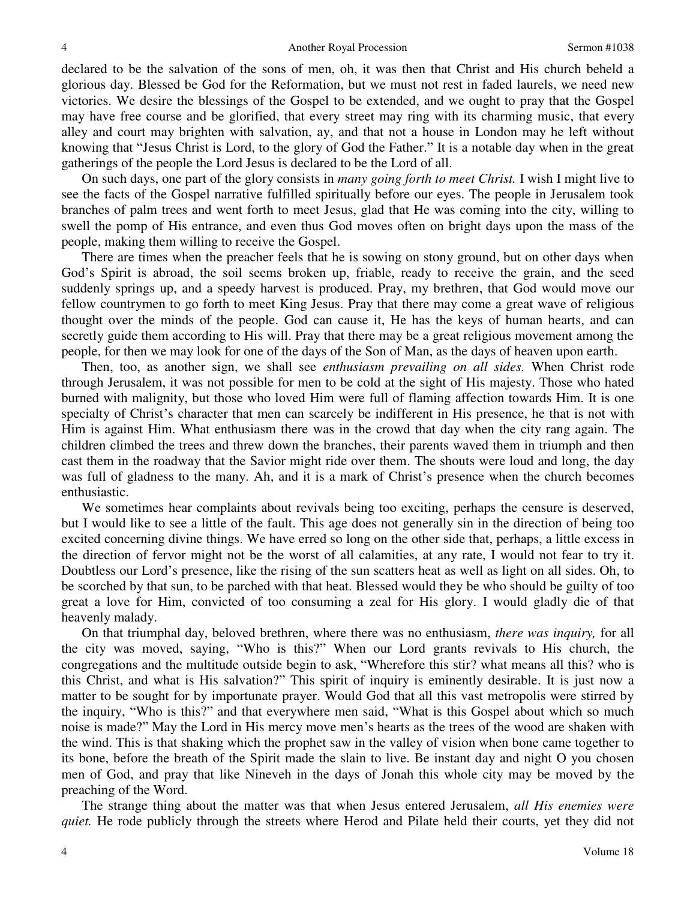declared to be the salvation of the sons of men, oh, it was then that Christ and His church beheld a glorious day. Blessed be God for the Reformation, but we must not rest in faded laurels, we need new victories. We desire the blessings of the Gospel to be extended, and we ought to pray that the Gospel may have free course and be glorified, that every street may ring with its charming music, that every alley and court may brighten with salvation, ay, and that not a house in London may he left without knowing that "Jesus Christ is Lord, to the glory of God the Father." It is a notable day when in the great gatherings of the people the Lord Jesus is declared to be the Lord of all.

On such days, one part of the glory consists in *many going forth to meet Christ.* I wish I might live to see the facts of the Gospel narrative fulfilled spiritually before our eyes. The people in Jerusalem took branches of palm trees and went forth to meet Jesus, glad that He was coming into the city, willing to swell the pomp of His entrance, and even thus God moves often on bright days upon the mass of the people, making them willing to receive the Gospel.

There are times when the preacher feels that he is sowing on stony ground, but on other days when God's Spirit is abroad, the soil seems broken up, friable, ready to receive the grain, and the seed suddenly springs up, and a speedy harvest is produced. Pray, my brethren, that God would move our fellow countrymen to go forth to meet King Jesus. Pray that there may come a great wave of religious thought over the minds of the people. God can cause it, He has the keys of human hearts, and can secretly guide them according to His will. Pray that there may be a great religious movement among the people, for then we may look for one of the days of the Son of Man, as the days of heaven upon earth.

Then, too, as another sign, we shall see *enthusiasm prevailing on all sides.* When Christ rode through Jerusalem, it was not possible for men to be cold at the sight of His majesty. Those who hated burned with malignity, but those who loved Him were full of flaming affection towards Him. It is one specialty of Christ's character that men can scarcely be indifferent in His presence, he that is not with Him is against Him. What enthusiasm there was in the crowd that day when the city rang again. The children climbed the trees and threw down the branches, their parents waved them in triumph and then cast them in the roadway that the Savior might ride over them. The shouts were loud and long, the day was full of gladness to the many. Ah, and it is a mark of Christ's presence when the church becomes enthusiastic.

We sometimes hear complaints about revivals being too exciting, perhaps the censure is deserved, but I would like to see a little of the fault. This age does not generally sin in the direction of being too excited concerning divine things. We have erred so long on the other side that, perhaps, a little excess in the direction of fervor might not be the worst of all calamities, at any rate, I would not fear to try it. Doubtless our Lord's presence, like the rising of the sun scatters heat as well as light on all sides. Oh, to be scorched by that sun, to be parched with that heat. Blessed would they be who should be guilty of too great a love for Him, convicted of too consuming a zeal for His glory. I would gladly die of that heavenly malady.

On that triumphal day, beloved brethren, where there was no enthusiasm, *there was inquiry,* for all the city was moved, saying, "Who is this?" When our Lord grants revivals to His church, the congregations and the multitude outside begin to ask, "Wherefore this stir? what means all this? who is this Christ, and what is His salvation?" This spirit of inquiry is eminently desirable. It is just now a matter to be sought for by importunate prayer. Would God that all this vast metropolis were stirred by the inquiry, "Who is this?" and that everywhere men said, "What is this Gospel about which so much noise is made?" May the Lord in His mercy move men's hearts as the trees of the wood are shaken with the wind. This is that shaking which the prophet saw in the valley of vision when bone came together to its bone, before the breath of the Spirit made the slain to live. Be instant day and night O you chosen men of God, and pray that like Nineveh in the days of Jonah this whole city may be moved by the preaching of the Word.

The strange thing about the matter was that when Jesus entered Jerusalem, *all His enemies were quiet.* He rode publicly through the streets where Herod and Pilate held their courts, yet they did not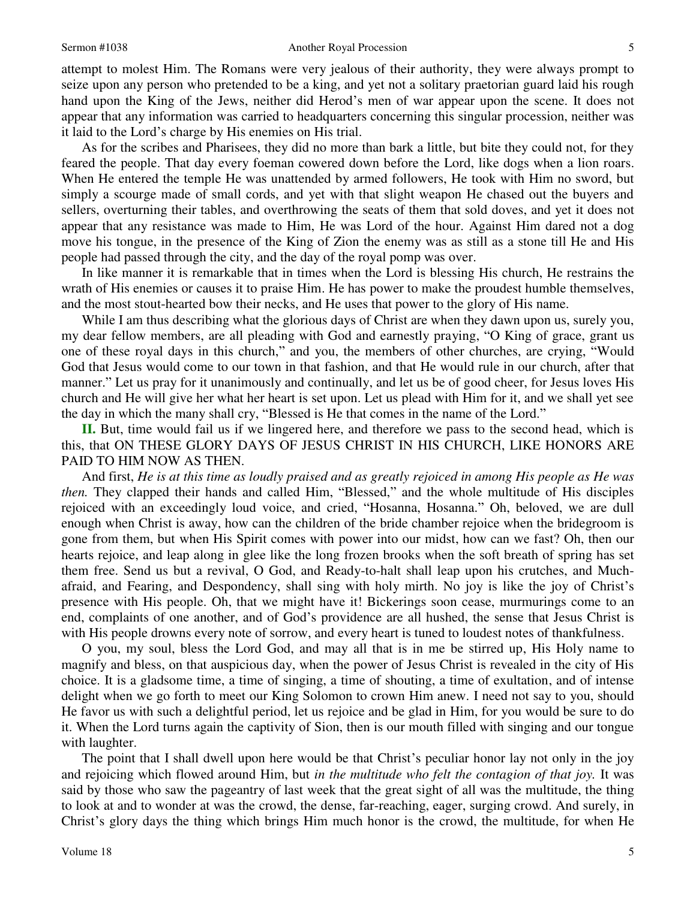attempt to molest Him. The Romans were very jealous of their authority, they were always prompt to seize upon any person who pretended to be a king, and yet not a solitary praetorian guard laid his rough hand upon the King of the Jews, neither did Herod's men of war appear upon the scene. It does not appear that any information was carried to headquarters concerning this singular procession, neither was it laid to the Lord's charge by His enemies on His trial.

As for the scribes and Pharisees, they did no more than bark a little, but bite they could not, for they feared the people. That day every foeman cowered down before the Lord, like dogs when a lion roars. When He entered the temple He was unattended by armed followers, He took with Him no sword, but simply a scourge made of small cords, and yet with that slight weapon He chased out the buyers and sellers, overturning their tables, and overthrowing the seats of them that sold doves, and yet it does not appear that any resistance was made to Him, He was Lord of the hour. Against Him dared not a dog move his tongue, in the presence of the King of Zion the enemy was as still as a stone till He and His people had passed through the city, and the day of the royal pomp was over.

In like manner it is remarkable that in times when the Lord is blessing His church, He restrains the wrath of His enemies or causes it to praise Him. He has power to make the proudest humble themselves, and the most stout-hearted bow their necks, and He uses that power to the glory of His name.

While I am thus describing what the glorious days of Christ are when they dawn upon us, surely you, my dear fellow members, are all pleading with God and earnestly praying, "O King of grace, grant us one of these royal days in this church," and you, the members of other churches, are crying, "Would God that Jesus would come to our town in that fashion, and that He would rule in our church, after that manner." Let us pray for it unanimously and continually, and let us be of good cheer, for Jesus loves His church and He will give her what her heart is set upon. Let us plead with Him for it, and we shall yet see the day in which the many shall cry, "Blessed is He that comes in the name of the Lord."

**II.** But, time would fail us if we lingered here, and therefore we pass to the second head, which is this, that ON THESE GLORY DAYS OF JESUS CHRIST IN HIS CHURCH, LIKE HONORS ARE PAID TO HIM NOW AS THEN.

And first, *He is at this time as loudly praised and as greatly rejoiced in among His people as He was then.* They clapped their hands and called Him, "Blessed," and the whole multitude of His disciples rejoiced with an exceedingly loud voice, and cried, "Hosanna, Hosanna." Oh, beloved, we are dull enough when Christ is away, how can the children of the bride chamber rejoice when the bridegroom is gone from them, but when His Spirit comes with power into our midst, how can we fast? Oh, then our hearts rejoice, and leap along in glee like the long frozen brooks when the soft breath of spring has set them free. Send us but a revival, O God, and Ready-to-halt shall leap upon his crutches, and Muchafraid, and Fearing, and Despondency, shall sing with holy mirth. No joy is like the joy of Christ's presence with His people. Oh, that we might have it! Bickerings soon cease, murmurings come to an end, complaints of one another, and of God's providence are all hushed, the sense that Jesus Christ is with His people drowns every note of sorrow, and every heart is tuned to loudest notes of thankfulness.

O you, my soul, bless the Lord God, and may all that is in me be stirred up, His Holy name to magnify and bless, on that auspicious day, when the power of Jesus Christ is revealed in the city of His choice. It is a gladsome time, a time of singing, a time of shouting, a time of exultation, and of intense delight when we go forth to meet our King Solomon to crown Him anew. I need not say to you, should He favor us with such a delightful period, let us rejoice and be glad in Him, for you would be sure to do it. When the Lord turns again the captivity of Sion, then is our mouth filled with singing and our tongue with laughter.

The point that I shall dwell upon here would be that Christ's peculiar honor lay not only in the joy and rejoicing which flowed around Him, but *in the multitude who felt the contagion of that joy.* It was said by those who saw the pageantry of last week that the great sight of all was the multitude, the thing to look at and to wonder at was the crowd, the dense, far-reaching, eager, surging crowd. And surely, in Christ's glory days the thing which brings Him much honor is the crowd, the multitude, for when He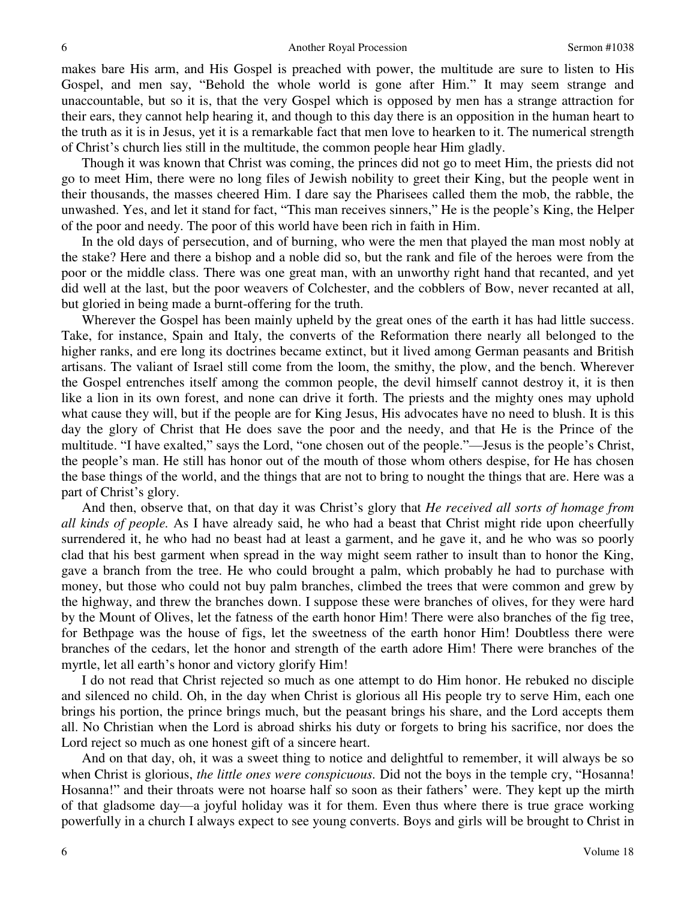makes bare His arm, and His Gospel is preached with power, the multitude are sure to listen to His Gospel, and men say, "Behold the whole world is gone after Him." It may seem strange and unaccountable, but so it is, that the very Gospel which is opposed by men has a strange attraction for their ears, they cannot help hearing it, and though to this day there is an opposition in the human heart to the truth as it is in Jesus, yet it is a remarkable fact that men love to hearken to it. The numerical strength of Christ's church lies still in the multitude, the common people hear Him gladly.

Though it was known that Christ was coming, the princes did not go to meet Him, the priests did not go to meet Him, there were no long files of Jewish nobility to greet their King, but the people went in their thousands, the masses cheered Him. I dare say the Pharisees called them the mob, the rabble, the unwashed. Yes, and let it stand for fact, "This man receives sinners," He is the people's King, the Helper of the poor and needy. The poor of this world have been rich in faith in Him.

In the old days of persecution, and of burning, who were the men that played the man most nobly at the stake? Here and there a bishop and a noble did so, but the rank and file of the heroes were from the poor or the middle class. There was one great man, with an unworthy right hand that recanted, and yet did well at the last, but the poor weavers of Colchester, and the cobblers of Bow, never recanted at all, but gloried in being made a burnt-offering for the truth.

Wherever the Gospel has been mainly upheld by the great ones of the earth it has had little success. Take, for instance, Spain and Italy, the converts of the Reformation there nearly all belonged to the higher ranks, and ere long its doctrines became extinct, but it lived among German peasants and British artisans. The valiant of Israel still come from the loom, the smithy, the plow, and the bench. Wherever the Gospel entrenches itself among the common people, the devil himself cannot destroy it, it is then like a lion in its own forest, and none can drive it forth. The priests and the mighty ones may uphold what cause they will, but if the people are for King Jesus, His advocates have no need to blush. It is this day the glory of Christ that He does save the poor and the needy, and that He is the Prince of the multitude. "I have exalted," says the Lord, "one chosen out of the people."—Jesus is the people's Christ, the people's man. He still has honor out of the mouth of those whom others despise, for He has chosen the base things of the world, and the things that are not to bring to nought the things that are. Here was a part of Christ's glory.

And then, observe that, on that day it was Christ's glory that *He received all sorts of homage from all kinds of people.* As I have already said, he who had a beast that Christ might ride upon cheerfully surrendered it, he who had no beast had at least a garment, and he gave it, and he who was so poorly clad that his best garment when spread in the way might seem rather to insult than to honor the King, gave a branch from the tree. He who could brought a palm, which probably he had to purchase with money, but those who could not buy palm branches, climbed the trees that were common and grew by the highway, and threw the branches down. I suppose these were branches of olives, for they were hard by the Mount of Olives, let the fatness of the earth honor Him! There were also branches of the fig tree, for Bethpage was the house of figs, let the sweetness of the earth honor Him! Doubtless there were branches of the cedars, let the honor and strength of the earth adore Him! There were branches of the myrtle, let all earth's honor and victory glorify Him!

I do not read that Christ rejected so much as one attempt to do Him honor. He rebuked no disciple and silenced no child. Oh, in the day when Christ is glorious all His people try to serve Him, each one brings his portion, the prince brings much, but the peasant brings his share, and the Lord accepts them all. No Christian when the Lord is abroad shirks his duty or forgets to bring his sacrifice, nor does the Lord reject so much as one honest gift of a sincere heart.

And on that day, oh, it was a sweet thing to notice and delightful to remember, it will always be so when Christ is glorious, *the little ones were conspicuous*. Did not the boys in the temple cry, "Hosanna! Hosanna!" and their throats were not hoarse half so soon as their fathers' were. They kept up the mirth of that gladsome day—a joyful holiday was it for them. Even thus where there is true grace working powerfully in a church I always expect to see young converts. Boys and girls will be brought to Christ in

6

6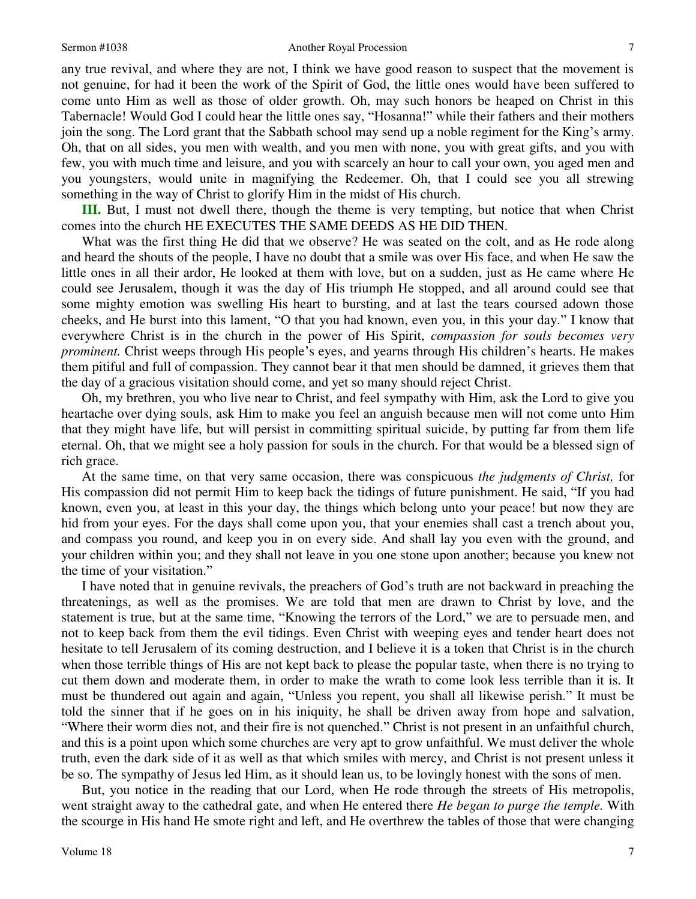any true revival, and where they are not, I think we have good reason to suspect that the movement is not genuine, for had it been the work of the Spirit of God, the little ones would have been suffered to come unto Him as well as those of older growth. Oh, may such honors be heaped on Christ in this Tabernacle! Would God I could hear the little ones say, "Hosanna!" while their fathers and their mothers join the song. The Lord grant that the Sabbath school may send up a noble regiment for the King's army. Oh, that on all sides, you men with wealth, and you men with none, you with great gifts, and you with few, you with much time and leisure, and you with scarcely an hour to call your own, you aged men and you youngsters, would unite in magnifying the Redeemer. Oh, that I could see you all strewing something in the way of Christ to glorify Him in the midst of His church.

**III.** But, I must not dwell there, though the theme is very tempting, but notice that when Christ comes into the church HE EXECUTES THE SAME DEEDS AS HE DID THEN.

What was the first thing He did that we observe? He was seated on the colt, and as He rode along and heard the shouts of the people, I have no doubt that a smile was over His face, and when He saw the little ones in all their ardor, He looked at them with love, but on a sudden, just as He came where He could see Jerusalem, though it was the day of His triumph He stopped, and all around could see that some mighty emotion was swelling His heart to bursting, and at last the tears coursed adown those cheeks, and He burst into this lament, "O that you had known, even you, in this your day." I know that everywhere Christ is in the church in the power of His Spirit, *compassion for souls becomes very prominent.* Christ weeps through His people's eyes, and yearns through His children's hearts. He makes them pitiful and full of compassion. They cannot bear it that men should be damned, it grieves them that the day of a gracious visitation should come, and yet so many should reject Christ.

Oh, my brethren, you who live near to Christ, and feel sympathy with Him, ask the Lord to give you heartache over dying souls, ask Him to make you feel an anguish because men will not come unto Him that they might have life, but will persist in committing spiritual suicide, by putting far from them life eternal. Oh, that we might see a holy passion for souls in the church. For that would be a blessed sign of rich grace.

At the same time, on that very same occasion, there was conspicuous *the judgments of Christ,* for His compassion did not permit Him to keep back the tidings of future punishment. He said, "If you had known, even you, at least in this your day, the things which belong unto your peace! but now they are hid from your eyes. For the days shall come upon you, that your enemies shall cast a trench about you, and compass you round, and keep you in on every side. And shall lay you even with the ground, and your children within you; and they shall not leave in you one stone upon another; because you knew not the time of your visitation."

I have noted that in genuine revivals, the preachers of God's truth are not backward in preaching the threatenings, as well as the promises. We are told that men are drawn to Christ by love, and the statement is true, but at the same time, "Knowing the terrors of the Lord," we are to persuade men, and not to keep back from them the evil tidings. Even Christ with weeping eyes and tender heart does not hesitate to tell Jerusalem of its coming destruction, and I believe it is a token that Christ is in the church when those terrible things of His are not kept back to please the popular taste, when there is no trying to cut them down and moderate them, in order to make the wrath to come look less terrible than it is. It must be thundered out again and again, "Unless you repent, you shall all likewise perish." It must be told the sinner that if he goes on in his iniquity, he shall be driven away from hope and salvation, "Where their worm dies not, and their fire is not quenched." Christ is not present in an unfaithful church, and this is a point upon which some churches are very apt to grow unfaithful. We must deliver the whole truth, even the dark side of it as well as that which smiles with mercy, and Christ is not present unless it be so. The sympathy of Jesus led Him, as it should lean us, to be lovingly honest with the sons of men.

But, you notice in the reading that our Lord, when He rode through the streets of His metropolis, went straight away to the cathedral gate, and when He entered there *He began to purge the temple.* With the scourge in His hand He smote right and left, and He overthrew the tables of those that were changing

Volume 18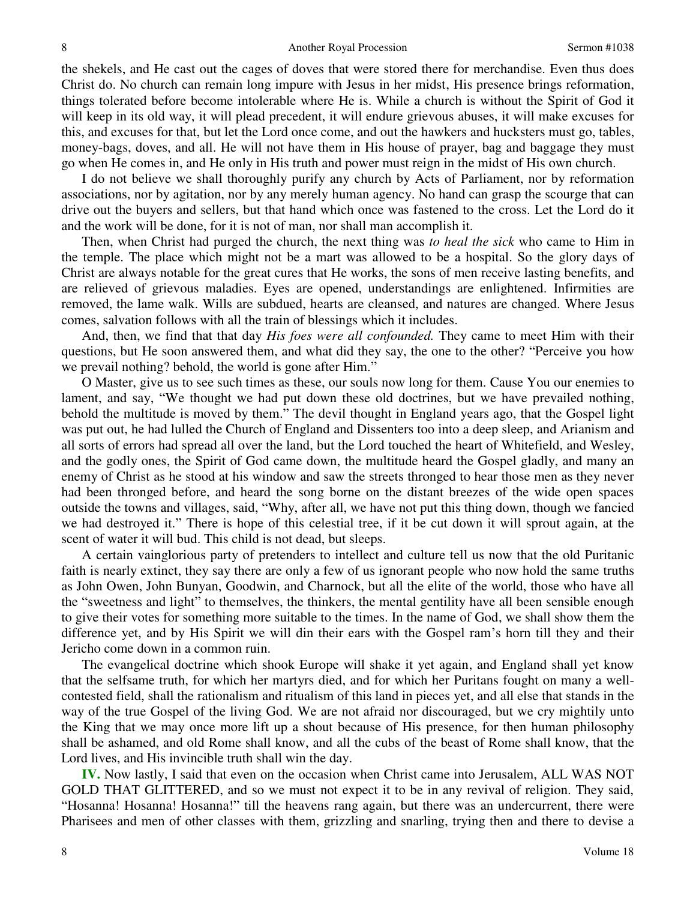the shekels, and He cast out the cages of doves that were stored there for merchandise. Even thus does Christ do. No church can remain long impure with Jesus in her midst, His presence brings reformation, things tolerated before become intolerable where He is. While a church is without the Spirit of God it will keep in its old way, it will plead precedent, it will endure grievous abuses, it will make excuses for this, and excuses for that, but let the Lord once come, and out the hawkers and hucksters must go, tables, money-bags, doves, and all. He will not have them in His house of prayer, bag and baggage they must go when He comes in, and He only in His truth and power must reign in the midst of His own church.

I do not believe we shall thoroughly purify any church by Acts of Parliament, nor by reformation associations, nor by agitation, nor by any merely human agency. No hand can grasp the scourge that can drive out the buyers and sellers, but that hand which once was fastened to the cross. Let the Lord do it and the work will be done, for it is not of man, nor shall man accomplish it.

Then, when Christ had purged the church, the next thing was *to heal the sick* who came to Him in the temple. The place which might not be a mart was allowed to be a hospital. So the glory days of Christ are always notable for the great cures that He works, the sons of men receive lasting benefits, and are relieved of grievous maladies. Eyes are opened, understandings are enlightened. Infirmities are removed, the lame walk. Wills are subdued, hearts are cleansed, and natures are changed. Where Jesus comes, salvation follows with all the train of blessings which it includes.

And, then, we find that that day *His foes were all confounded.* They came to meet Him with their questions, but He soon answered them, and what did they say, the one to the other? "Perceive you how we prevail nothing? behold, the world is gone after Him."

O Master, give us to see such times as these, our souls now long for them. Cause You our enemies to lament, and say, "We thought we had put down these old doctrines, but we have prevailed nothing, behold the multitude is moved by them." The devil thought in England years ago, that the Gospel light was put out, he had lulled the Church of England and Dissenters too into a deep sleep, and Arianism and all sorts of errors had spread all over the land, but the Lord touched the heart of Whitefield, and Wesley, and the godly ones, the Spirit of God came down, the multitude heard the Gospel gladly, and many an enemy of Christ as he stood at his window and saw the streets thronged to hear those men as they never had been thronged before, and heard the song borne on the distant breezes of the wide open spaces outside the towns and villages, said, "Why, after all, we have not put this thing down, though we fancied we had destroyed it." There is hope of this celestial tree, if it be cut down it will sprout again, at the scent of water it will bud. This child is not dead, but sleeps.

A certain vainglorious party of pretenders to intellect and culture tell us now that the old Puritanic faith is nearly extinct, they say there are only a few of us ignorant people who now hold the same truths as John Owen, John Bunyan, Goodwin, and Charnock, but all the elite of the world, those who have all the "sweetness and light" to themselves, the thinkers, the mental gentility have all been sensible enough to give their votes for something more suitable to the times. In the name of God, we shall show them the difference yet, and by His Spirit we will din their ears with the Gospel ram's horn till they and their Jericho come down in a common ruin.

The evangelical doctrine which shook Europe will shake it yet again, and England shall yet know that the selfsame truth, for which her martyrs died, and for which her Puritans fought on many a wellcontested field, shall the rationalism and ritualism of this land in pieces yet, and all else that stands in the way of the true Gospel of the living God. We are not afraid nor discouraged, but we cry mightily unto the King that we may once more lift up a shout because of His presence, for then human philosophy shall be ashamed, and old Rome shall know, and all the cubs of the beast of Rome shall know, that the Lord lives, and His invincible truth shall win the day.

**IV.** Now lastly, I said that even on the occasion when Christ came into Jerusalem, ALL WAS NOT GOLD THAT GLITTERED, and so we must not expect it to be in any revival of religion. They said, "Hosanna! Hosanna! Hosanna!" till the heavens rang again, but there was an undercurrent, there were Pharisees and men of other classes with them, grizzling and snarling, trying then and there to devise a